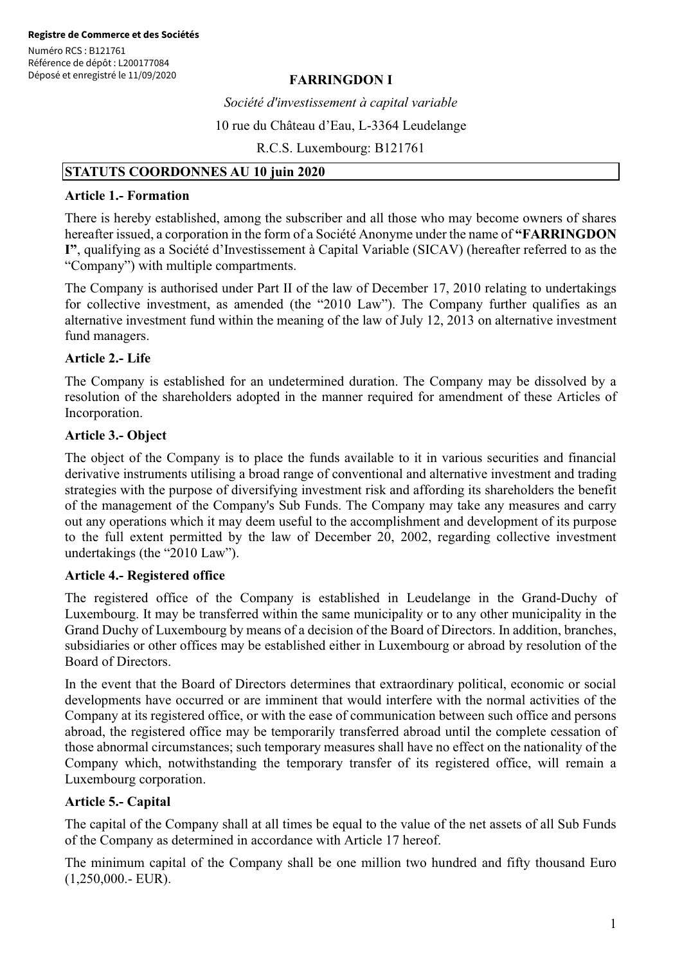# **FARRINGDON I**

*Société d'investissement à capital variable* 

10 rue du Château d'Eau, L-3364 Leudelange

R.C.S. Luxembourg: B121761

#### **STATUTS COORDONNES AU 10 juin 2020**

# **Article 1.- Formation**

There is hereby established, among the subscriber and all those who may become owners of shares hereafter issued, a corporation in the form of a Société Anonyme under the name of **"FARRINGDON I"**, qualifying as a Société d'Investissement à Capital Variable (SICAV) (hereafter referred to as the "Company") with multiple compartments.

The Company is authorised under Part II of the law of December 17, 2010 relating to undertakings for collective investment, as amended (the "2010 Law"). The Company further qualifies as an alternative investment fund within the meaning of the law of July 12, 2013 on alternative investment fund managers.

#### **Article 2.- Life**

The Company is established for an undetermined duration. The Company may be dissolved by a resolution of the shareholders adopted in the manner required for amendment of these Articles of Incorporation.

#### **Article 3.- Object**

The object of the Company is to place the funds available to it in various securities and financial derivative instruments utilising a broad range of conventional and alternative investment and trading strategies with the purpose of diversifying investment risk and affording its shareholders the benefit of the management of the Company's Sub Funds. The Company may take any measures and carry out any operations which it may deem useful to the accomplishment and development of its purpose to the full extent permitted by the law of December 20, 2002, regarding collective investment undertakings (the "2010 Law").

#### **Article 4.- Registered office**

The registered office of the Company is established in Leudelange in the Grand-Duchy of Luxembourg. It may be transferred within the same municipality or to any other municipality in the Grand Duchy of Luxembourg by means of a decision of the Board of Directors. In addition, branches, subsidiaries or other offices may be established either in Luxembourg or abroad by resolution of the Board of Directors.

In the event that the Board of Directors determines that extraordinary political, economic or social developments have occurred or are imminent that would interfere with the normal activities of the Company at its registered office, or with the ease of communication between such office and persons abroad, the registered office may be temporarily transferred abroad until the complete cessation of those abnormal circumstances; such temporary measures shall have no effect on the nationality of the Company which, notwithstanding the temporary transfer of its registered office, will remain a Luxembourg corporation.

#### **Article 5.- Capital**

The capital of the Company shall at all times be equal to the value of the net assets of all Sub Funds of the Company as determined in accordance with Article 17 hereof.

The minimum capital of the Company shall be one million two hundred and fifty thousand Euro (1,250,000.- EUR).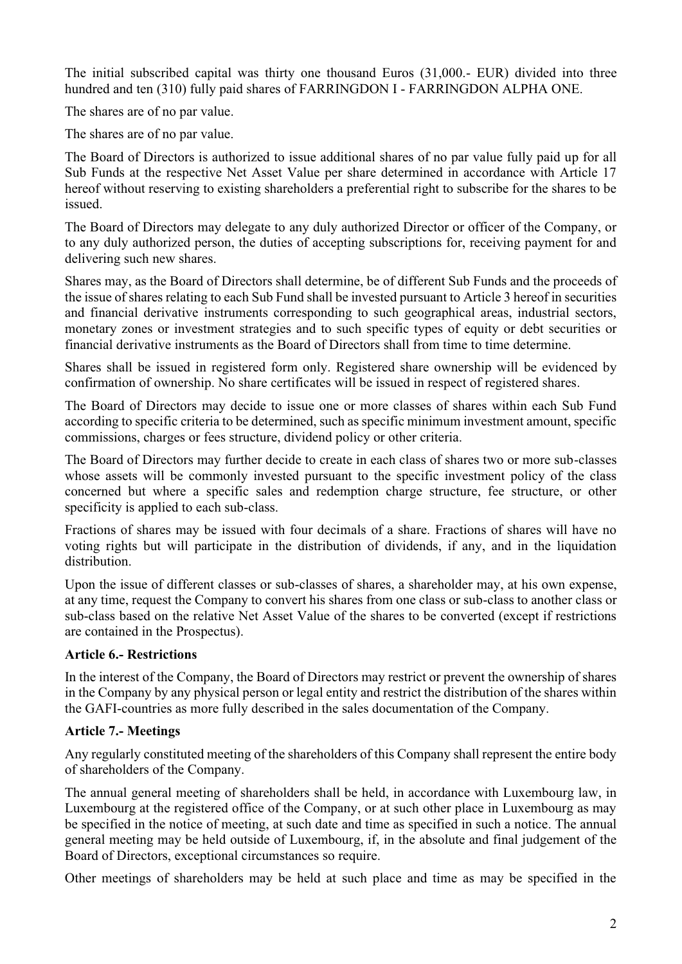The initial subscribed capital was thirty one thousand Euros (31,000.- EUR) divided into three hundred and ten (310) fully paid shares of FARRINGDON I - FARRINGDON ALPHA ONE.

The shares are of no par value.

The shares are of no par value.

The Board of Directors is authorized to issue additional shares of no par value fully paid up for all Sub Funds at the respective Net Asset Value per share determined in accordance with Article 17 hereof without reserving to existing shareholders a preferential right to subscribe for the shares to be issued.

The Board of Directors may delegate to any duly authorized Director or officer of the Company, or to any duly authorized person, the duties of accepting subscriptions for, receiving payment for and delivering such new shares.

Shares may, as the Board of Directors shall determine, be of different Sub Funds and the proceeds of the issue of shares relating to each Sub Fund shall be invested pursuant to Article 3 hereof in securities and financial derivative instruments corresponding to such geographical areas, industrial sectors, monetary zones or investment strategies and to such specific types of equity or debt securities or financial derivative instruments as the Board of Directors shall from time to time determine.

Shares shall be issued in registered form only. Registered share ownership will be evidenced by confirmation of ownership. No share certificates will be issued in respect of registered shares.

The Board of Directors may decide to issue one or more classes of shares within each Sub Fund according to specific criteria to be determined, such as specific minimum investment amount, specific commissions, charges or fees structure, dividend policy or other criteria.

The Board of Directors may further decide to create in each class of shares two or more sub-classes whose assets will be commonly invested pursuant to the specific investment policy of the class concerned but where a specific sales and redemption charge structure, fee structure, or other specificity is applied to each sub-class.

Fractions of shares may be issued with four decimals of a share. Fractions of shares will have no voting rights but will participate in the distribution of dividends, if any, and in the liquidation distribution.

Upon the issue of different classes or sub-classes of shares, a shareholder may, at his own expense, at any time, request the Company to convert his shares from one class or sub-class to another class or sub-class based on the relative Net Asset Value of the shares to be converted (except if restrictions are contained in the Prospectus).

### **Article 6.- Restrictions**

In the interest of the Company, the Board of Directors may restrict or prevent the ownership of shares in the Company by any physical person or legal entity and restrict the distribution of the shares within the GAFI-countries as more fully described in the sales documentation of the Company.

# **Article 7.- Meetings**

Any regularly constituted meeting of the shareholders of this Company shall represent the entire body of shareholders of the Company.

The annual general meeting of shareholders shall be held, in accordance with Luxembourg law, in Luxembourg at the registered office of the Company, or at such other place in Luxembourg as may be specified in the notice of meeting, at such date and time as specified in such a notice. The annual general meeting may be held outside of Luxembourg, if, in the absolute and final judgement of the Board of Directors, exceptional circumstances so require.

Other meetings of shareholders may be held at such place and time as may be specified in the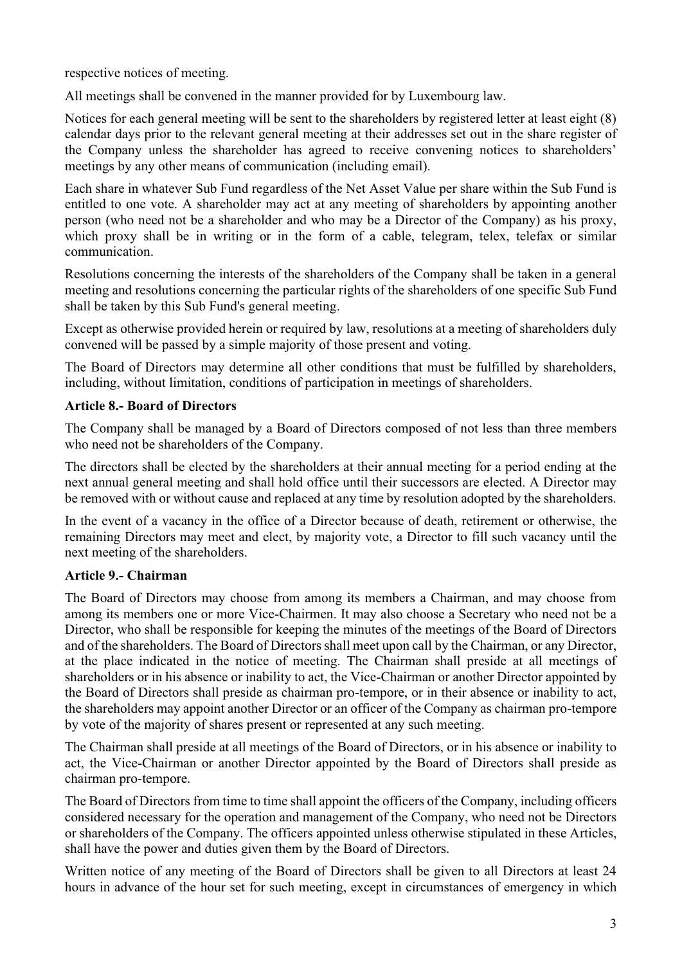respective notices of meeting.

All meetings shall be convened in the manner provided for by Luxembourg law.

Notices for each general meeting will be sent to the shareholders by registered letter at least eight (8) calendar days prior to the relevant general meeting at their addresses set out in the share register of the Company unless the shareholder has agreed to receive convening notices to shareholders' meetings by any other means of communication (including email).

Each share in whatever Sub Fund regardless of the Net Asset Value per share within the Sub Fund is entitled to one vote. A shareholder may act at any meeting of shareholders by appointing another person (who need not be a shareholder and who may be a Director of the Company) as his proxy, which proxy shall be in writing or in the form of a cable, telegram, telex, telefax or similar communication.

Resolutions concerning the interests of the shareholders of the Company shall be taken in a general meeting and resolutions concerning the particular rights of the shareholders of one specific Sub Fund shall be taken by this Sub Fund's general meeting.

Except as otherwise provided herein or required by law, resolutions at a meeting of shareholders duly convened will be passed by a simple majority of those present and voting.

The Board of Directors may determine all other conditions that must be fulfilled by shareholders, including, without limitation, conditions of participation in meetings of shareholders.

### **Article 8.- Board of Directors**

The Company shall be managed by a Board of Directors composed of not less than three members who need not be shareholders of the Company.

The directors shall be elected by the shareholders at their annual meeting for a period ending at the next annual general meeting and shall hold office until their successors are elected. A Director may be removed with or without cause and replaced at any time by resolution adopted by the shareholders.

In the event of a vacancy in the office of a Director because of death, retirement or otherwise, the remaining Directors may meet and elect, by majority vote, a Director to fill such vacancy until the next meeting of the shareholders.

### **Article 9.- Chairman**

The Board of Directors may choose from among its members a Chairman, and may choose from among its members one or more Vice-Chairmen. It may also choose a Secretary who need not be a Director, who shall be responsible for keeping the minutes of the meetings of the Board of Directors and of the shareholders. The Board of Directors shall meet upon call by the Chairman, or any Director, at the place indicated in the notice of meeting. The Chairman shall preside at all meetings of shareholders or in his absence or inability to act, the Vice-Chairman or another Director appointed by the Board of Directors shall preside as chairman pro-tempore, or in their absence or inability to act, the shareholders may appoint another Director or an officer of the Company as chairman pro-tempore by vote of the majority of shares present or represented at any such meeting.

The Chairman shall preside at all meetings of the Board of Directors, or in his absence or inability to act, the Vice-Chairman or another Director appointed by the Board of Directors shall preside as chairman pro-tempore.

The Board of Directors from time to time shall appoint the officers of the Company, including officers considered necessary for the operation and management of the Company, who need not be Directors or shareholders of the Company. The officers appointed unless otherwise stipulated in these Articles, shall have the power and duties given them by the Board of Directors.

Written notice of any meeting of the Board of Directors shall be given to all Directors at least 24 hours in advance of the hour set for such meeting, except in circumstances of emergency in which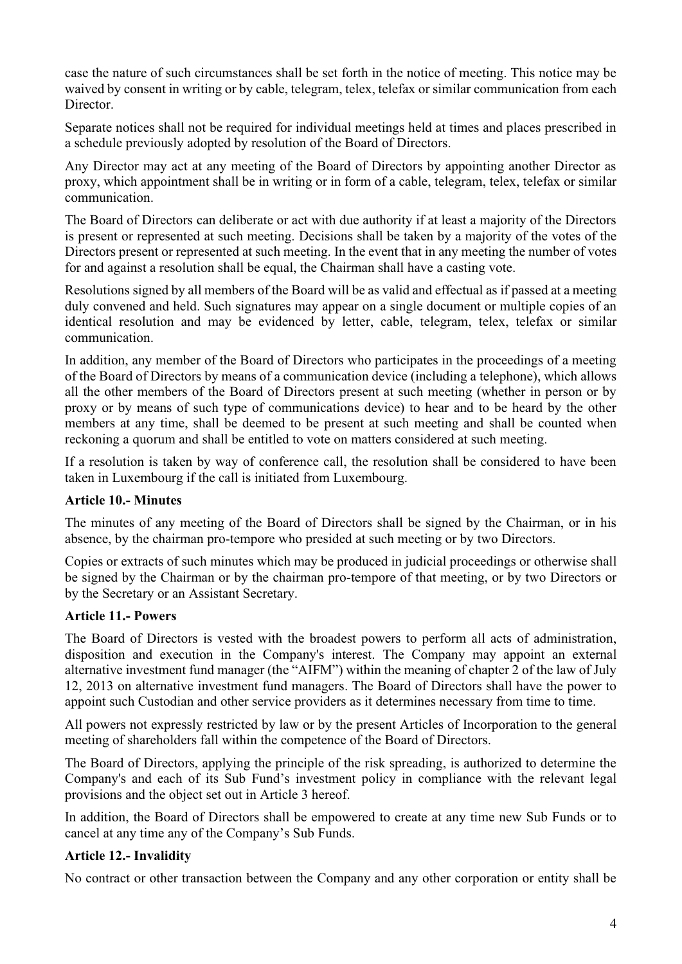case the nature of such circumstances shall be set forth in the notice of meeting. This notice may be waived by consent in writing or by cable, telegram, telex, telefax or similar communication from each Director.

Separate notices shall not be required for individual meetings held at times and places prescribed in a schedule previously adopted by resolution of the Board of Directors.

Any Director may act at any meeting of the Board of Directors by appointing another Director as proxy, which appointment shall be in writing or in form of a cable, telegram, telex, telefax or similar communication.

The Board of Directors can deliberate or act with due authority if at least a majority of the Directors is present or represented at such meeting. Decisions shall be taken by a majority of the votes of the Directors present or represented at such meeting. In the event that in any meeting the number of votes for and against a resolution shall be equal, the Chairman shall have a casting vote.

Resolutions signed by all members of the Board will be as valid and effectual as if passed at a meeting duly convened and held. Such signatures may appear on a single document or multiple copies of an identical resolution and may be evidenced by letter, cable, telegram, telex, telefax or similar communication.

In addition, any member of the Board of Directors who participates in the proceedings of a meeting of the Board of Directors by means of a communication device (including a telephone), which allows all the other members of the Board of Directors present at such meeting (whether in person or by proxy or by means of such type of communications device) to hear and to be heard by the other members at any time, shall be deemed to be present at such meeting and shall be counted when reckoning a quorum and shall be entitled to vote on matters considered at such meeting.

If a resolution is taken by way of conference call, the resolution shall be considered to have been taken in Luxembourg if the call is initiated from Luxembourg.

### **Article 10.- Minutes**

The minutes of any meeting of the Board of Directors shall be signed by the Chairman, or in his absence, by the chairman pro-tempore who presided at such meeting or by two Directors.

Copies or extracts of such minutes which may be produced in judicial proceedings or otherwise shall be signed by the Chairman or by the chairman pro-tempore of that meeting, or by two Directors or by the Secretary or an Assistant Secretary.

#### **Article 11.- Powers**

The Board of Directors is vested with the broadest powers to perform all acts of administration, disposition and execution in the Company's interest. The Company may appoint an external alternative investment fund manager (the "AIFM") within the meaning of chapter 2 of the law of July 12, 2013 on alternative investment fund managers. The Board of Directors shall have the power to appoint such Custodian and other service providers as it determines necessary from time to time.

All powers not expressly restricted by law or by the present Articles of Incorporation to the general meeting of shareholders fall within the competence of the Board of Directors.

The Board of Directors, applying the principle of the risk spreading, is authorized to determine the Company's and each of its Sub Fund's investment policy in compliance with the relevant legal provisions and the object set out in Article 3 hereof.

In addition, the Board of Directors shall be empowered to create at any time new Sub Funds or to cancel at any time any of the Company's Sub Funds.

### **Article 12.- Invalidity**

No contract or other transaction between the Company and any other corporation or entity shall be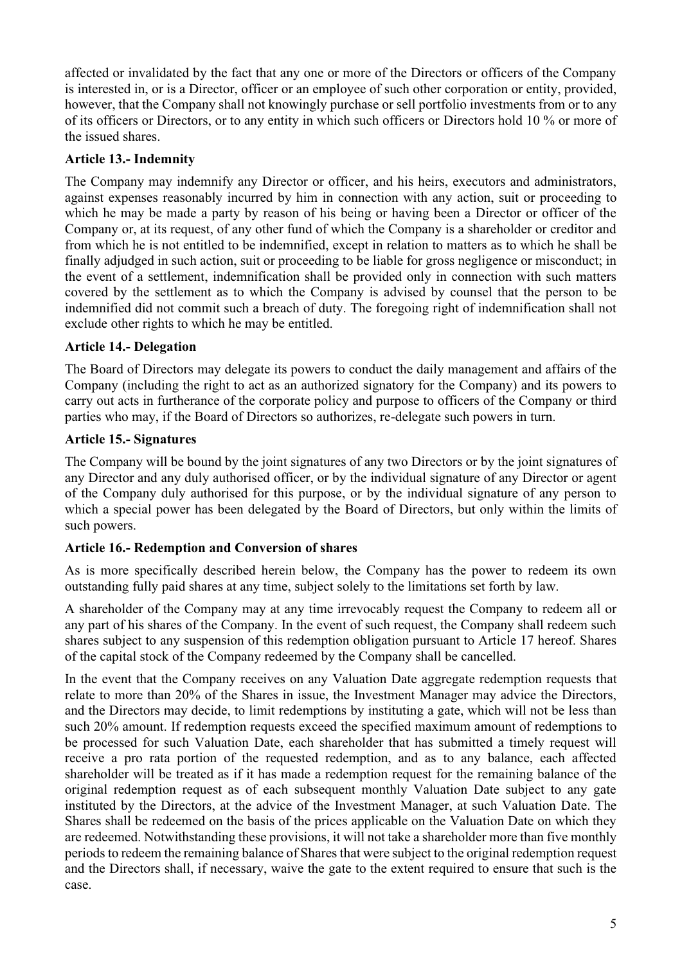affected or invalidated by the fact that any one or more of the Directors or officers of the Company is interested in, or is a Director, officer or an employee of such other corporation or entity, provided, however, that the Company shall not knowingly purchase or sell portfolio investments from or to any of its officers or Directors, or to any entity in which such officers or Directors hold 10 % or more of the issued shares.

# **Article 13.- Indemnity**

The Company may indemnify any Director or officer, and his heirs, executors and administrators, against expenses reasonably incurred by him in connection with any action, suit or proceeding to which he may be made a party by reason of his being or having been a Director or officer of the Company or, at its request, of any other fund of which the Company is a shareholder or creditor and from which he is not entitled to be indemnified, except in relation to matters as to which he shall be finally adjudged in such action, suit or proceeding to be liable for gross negligence or misconduct; in the event of a settlement, indemnification shall be provided only in connection with such matters covered by the settlement as to which the Company is advised by counsel that the person to be indemnified did not commit such a breach of duty. The foregoing right of indemnification shall not exclude other rights to which he may be entitled.

# **Article 14.- Delegation**

The Board of Directors may delegate its powers to conduct the daily management and affairs of the Company (including the right to act as an authorized signatory for the Company) and its powers to carry out acts in furtherance of the corporate policy and purpose to officers of the Company or third parties who may, if the Board of Directors so authorizes, re-delegate such powers in turn.

### **Article 15.- Signatures**

The Company will be bound by the joint signatures of any two Directors or by the joint signatures of any Director and any duly authorised officer, or by the individual signature of any Director or agent of the Company duly authorised for this purpose, or by the individual signature of any person to which a special power has been delegated by the Board of Directors, but only within the limits of such powers.

### **Article 16.- Redemption and Conversion of shares**

As is more specifically described herein below, the Company has the power to redeem its own outstanding fully paid shares at any time, subject solely to the limitations set forth by law.

A shareholder of the Company may at any time irrevocably request the Company to redeem all or any part of his shares of the Company. In the event of such request, the Company shall redeem such shares subject to any suspension of this redemption obligation pursuant to Article 17 hereof. Shares of the capital stock of the Company redeemed by the Company shall be cancelled.

In the event that the Company receives on any Valuation Date aggregate redemption requests that relate to more than 20% of the Shares in issue, the Investment Manager may advice the Directors, and the Directors may decide, to limit redemptions by instituting a gate, which will not be less than such 20% amount. If redemption requests exceed the specified maximum amount of redemptions to be processed for such Valuation Date, each shareholder that has submitted a timely request will receive a pro rata portion of the requested redemption, and as to any balance, each affected shareholder will be treated as if it has made a redemption request for the remaining balance of the original redemption request as of each subsequent monthly Valuation Date subject to any gate instituted by the Directors, at the advice of the Investment Manager, at such Valuation Date. The Shares shall be redeemed on the basis of the prices applicable on the Valuation Date on which they are redeemed. Notwithstanding these provisions, it will not take a shareholder more than five monthly periods to redeem the remaining balance of Shares that were subject to the original redemption request and the Directors shall, if necessary, waive the gate to the extent required to ensure that such is the case.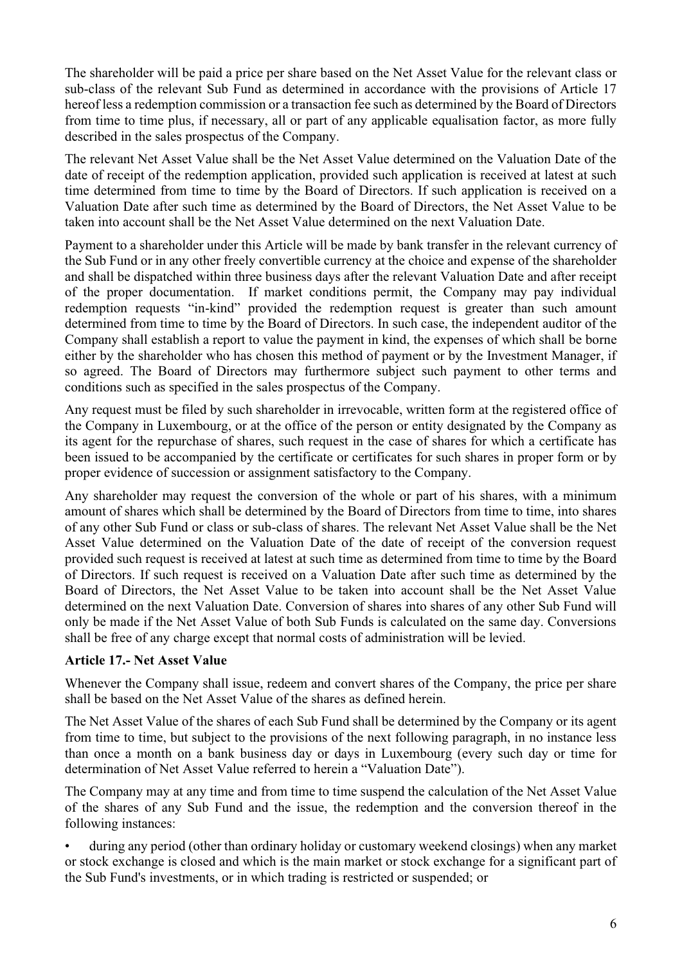The shareholder will be paid a price per share based on the Net Asset Value for the relevant class or sub-class of the relevant Sub Fund as determined in accordance with the provisions of Article 17 hereof less a redemption commission or a transaction fee such as determined by the Board of Directors from time to time plus, if necessary, all or part of any applicable equalisation factor, as more fully described in the sales prospectus of the Company.

The relevant Net Asset Value shall be the Net Asset Value determined on the Valuation Date of the date of receipt of the redemption application, provided such application is received at latest at such time determined from time to time by the Board of Directors. If such application is received on a Valuation Date after such time as determined by the Board of Directors, the Net Asset Value to be taken into account shall be the Net Asset Value determined on the next Valuation Date.

Payment to a shareholder under this Article will be made by bank transfer in the relevant currency of the Sub Fund or in any other freely convertible currency at the choice and expense of the shareholder and shall be dispatched within three business days after the relevant Valuation Date and after receipt of the proper documentation. If market conditions permit, the Company may pay individual redemption requests "in-kind" provided the redemption request is greater than such amount determined from time to time by the Board of Directors. In such case, the independent auditor of the Company shall establish a report to value the payment in kind, the expenses of which shall be borne either by the shareholder who has chosen this method of payment or by the Investment Manager, if so agreed. The Board of Directors may furthermore subject such payment to other terms and conditions such as specified in the sales prospectus of the Company.

Any request must be filed by such shareholder in irrevocable, written form at the registered office of the Company in Luxembourg, or at the office of the person or entity designated by the Company as its agent for the repurchase of shares, such request in the case of shares for which a certificate has been issued to be accompanied by the certificate or certificates for such shares in proper form or by proper evidence of succession or assignment satisfactory to the Company.

Any shareholder may request the conversion of the whole or part of his shares, with a minimum amount of shares which shall be determined by the Board of Directors from time to time, into shares of any other Sub Fund or class or sub-class of shares. The relevant Net Asset Value shall be the Net Asset Value determined on the Valuation Date of the date of receipt of the conversion request provided such request is received at latest at such time as determined from time to time by the Board of Directors. If such request is received on a Valuation Date after such time as determined by the Board of Directors, the Net Asset Value to be taken into account shall be the Net Asset Value determined on the next Valuation Date. Conversion of shares into shares of any other Sub Fund will only be made if the Net Asset Value of both Sub Funds is calculated on the same day. Conversions shall be free of any charge except that normal costs of administration will be levied.

### **Article 17.- Net Asset Value**

Whenever the Company shall issue, redeem and convert shares of the Company, the price per share shall be based on the Net Asset Value of the shares as defined herein.

The Net Asset Value of the shares of each Sub Fund shall be determined by the Company or its agent from time to time, but subject to the provisions of the next following paragraph, in no instance less than once a month on a bank business day or days in Luxembourg (every such day or time for determination of Net Asset Value referred to herein a "Valuation Date").

The Company may at any time and from time to time suspend the calculation of the Net Asset Value of the shares of any Sub Fund and the issue, the redemption and the conversion thereof in the following instances:

• during any period (other than ordinary holiday or customary weekend closings) when any market or stock exchange is closed and which is the main market or stock exchange for a significant part of the Sub Fund's investments, or in which trading is restricted or suspended; or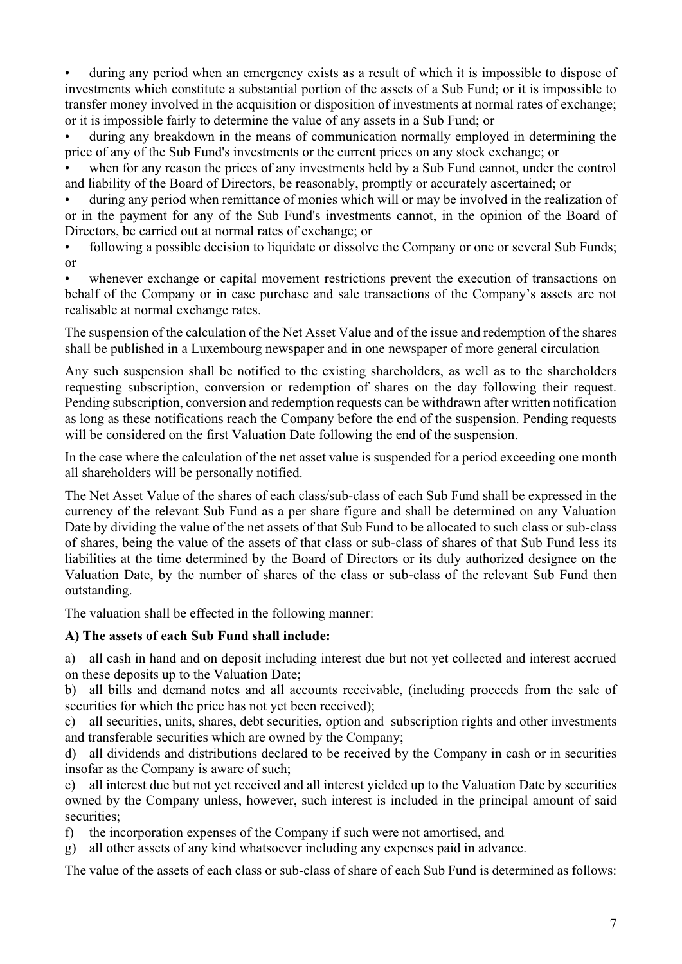• during any period when an emergency exists as a result of which it is impossible to dispose of investments which constitute a substantial portion of the assets of a Sub Fund; or it is impossible to transfer money involved in the acquisition or disposition of investments at normal rates of exchange; or it is impossible fairly to determine the value of any assets in a Sub Fund; or

• during any breakdown in the means of communication normally employed in determining the price of any of the Sub Fund's investments or the current prices on any stock exchange; or

when for any reason the prices of any investments held by a Sub Fund cannot, under the control and liability of the Board of Directors, be reasonably, promptly or accurately ascertained; or

• during any period when remittance of monies which will or may be involved in the realization of or in the payment for any of the Sub Fund's investments cannot, in the opinion of the Board of Directors, be carried out at normal rates of exchange; or

• following a possible decision to liquidate or dissolve the Company or one or several Sub Funds; or

whenever exchange or capital movement restrictions prevent the execution of transactions on behalf of the Company or in case purchase and sale transactions of the Company's assets are not realisable at normal exchange rates.

The suspension of the calculation of the Net Asset Value and of the issue and redemption of the shares shall be published in a Luxembourg newspaper and in one newspaper of more general circulation

Any such suspension shall be notified to the existing shareholders, as well as to the shareholders requesting subscription, conversion or redemption of shares on the day following their request. Pending subscription, conversion and redemption requests can be withdrawn after written notification as long as these notifications reach the Company before the end of the suspension. Pending requests will be considered on the first Valuation Date following the end of the suspension.

In the case where the calculation of the net asset value is suspended for a period exceeding one month all shareholders will be personally notified.

The Net Asset Value of the shares of each class/sub-class of each Sub Fund shall be expressed in the currency of the relevant Sub Fund as a per share figure and shall be determined on any Valuation Date by dividing the value of the net assets of that Sub Fund to be allocated to such class or sub-class of shares, being the value of the assets of that class or sub-class of shares of that Sub Fund less its liabilities at the time determined by the Board of Directors or its duly authorized designee on the Valuation Date, by the number of shares of the class or sub-class of the relevant Sub Fund then outstanding.

The valuation shall be effected in the following manner:

### **A) The assets of each Sub Fund shall include:**

a) all cash in hand and on deposit including interest due but not yet collected and interest accrued on these deposits up to the Valuation Date;

b) all bills and demand notes and all accounts receivable, (including proceeds from the sale of securities for which the price has not yet been received);

c) all securities, units, shares, debt securities, option and subscription rights and other investments and transferable securities which are owned by the Company;

d) all dividends and distributions declared to be received by the Company in cash or in securities insofar as the Company is aware of such;

e) all interest due but not yet received and all interest yielded up to the Valuation Date by securities owned by the Company unless, however, such interest is included in the principal amount of said securities;

- f) the incorporation expenses of the Company if such were not amortised, and
- g) all other assets of any kind whatsoever including any expenses paid in advance.

The value of the assets of each class or sub-class of share of each Sub Fund is determined as follows: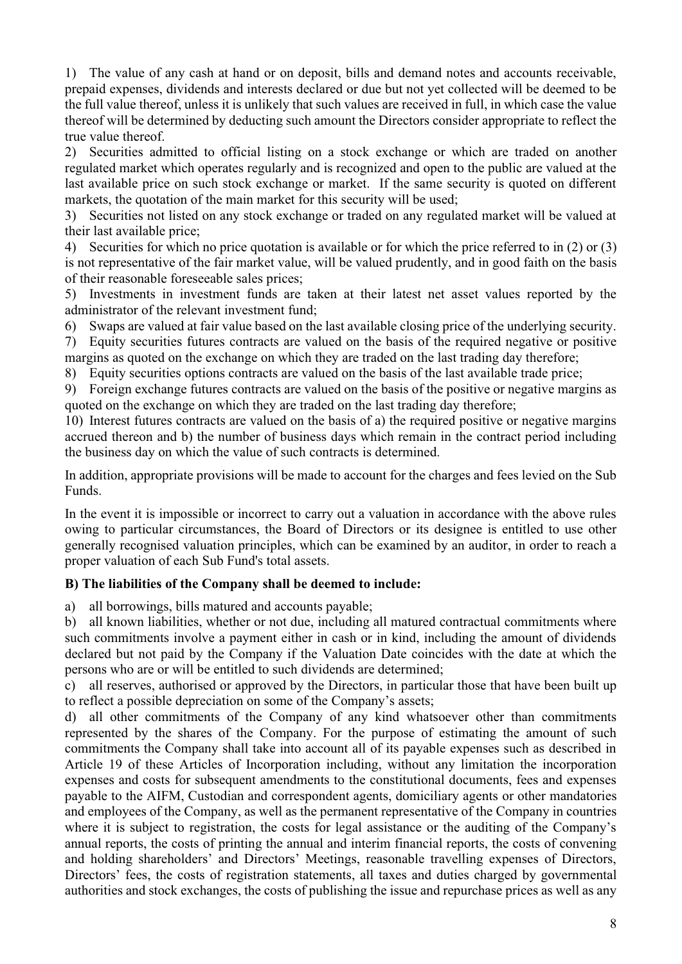1) The value of any cash at hand or on deposit, bills and demand notes and accounts receivable, prepaid expenses, dividends and interests declared or due but not yet collected will be deemed to be the full value thereof, unless it is unlikely that such values are received in full, in which case the value thereof will be determined by deducting such amount the Directors consider appropriate to reflect the true value thereof.

2) Securities admitted to official listing on a stock exchange or which are traded on another regulated market which operates regularly and is recognized and open to the public are valued at the last available price on such stock exchange or market. If the same security is quoted on different markets, the quotation of the main market for this security will be used;

3) Securities not listed on any stock exchange or traded on any regulated market will be valued at their last available price;

4) Securities for which no price quotation is available or for which the price referred to in (2) or (3) is not representative of the fair market value, will be valued prudently, and in good faith on the basis of their reasonable foreseeable sales prices;

5) Investments in investment funds are taken at their latest net asset values reported by the administrator of the relevant investment fund;

6) Swaps are valued at fair value based on the last available closing price of the underlying security.

7) Equity securities futures contracts are valued on the basis of the required negative or positive margins as quoted on the exchange on which they are traded on the last trading day therefore;

8) Equity securities options contracts are valued on the basis of the last available trade price;

9) Foreign exchange futures contracts are valued on the basis of the positive or negative margins as quoted on the exchange on which they are traded on the last trading day therefore;

10) Interest futures contracts are valued on the basis of a) the required positive or negative margins accrued thereon and b) the number of business days which remain in the contract period including the business day on which the value of such contracts is determined.

In addition, appropriate provisions will be made to account for the charges and fees levied on the Sub Funds.

In the event it is impossible or incorrect to carry out a valuation in accordance with the above rules owing to particular circumstances, the Board of Directors or its designee is entitled to use other generally recognised valuation principles, which can be examined by an auditor, in order to reach a proper valuation of each Sub Fund's total assets.

# **B) The liabilities of the Company shall be deemed to include:**

a) all borrowings, bills matured and accounts payable;

b) all known liabilities, whether or not due, including all matured contractual commitments where such commitments involve a payment either in cash or in kind, including the amount of dividends declared but not paid by the Company if the Valuation Date coincides with the date at which the persons who are or will be entitled to such dividends are determined;

c) all reserves, authorised or approved by the Directors, in particular those that have been built up to reflect a possible depreciation on some of the Company's assets;

d) all other commitments of the Company of any kind whatsoever other than commitments represented by the shares of the Company. For the purpose of estimating the amount of such commitments the Company shall take into account all of its payable expenses such as described in Article 19 of these Articles of Incorporation including, without any limitation the incorporation expenses and costs for subsequent amendments to the constitutional documents, fees and expenses payable to the AIFM, Custodian and correspondent agents, domiciliary agents or other mandatories and employees of the Company, as well as the permanent representative of the Company in countries where it is subject to registration, the costs for legal assistance or the auditing of the Company's annual reports, the costs of printing the annual and interim financial reports, the costs of convening and holding shareholders' and Directors' Meetings, reasonable travelling expenses of Directors, Directors' fees, the costs of registration statements, all taxes and duties charged by governmental authorities and stock exchanges, the costs of publishing the issue and repurchase prices as well as any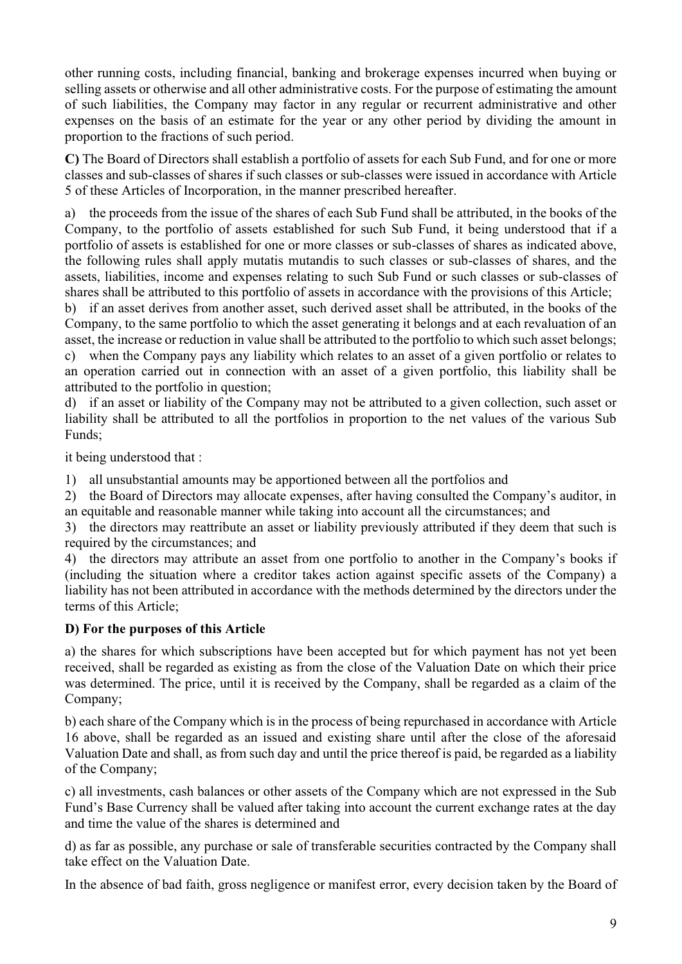other running costs, including financial, banking and brokerage expenses incurred when buying or selling assets or otherwise and all other administrative costs. For the purpose of estimating the amount of such liabilities, the Company may factor in any regular or recurrent administrative and other expenses on the basis of an estimate for the year or any other period by dividing the amount in proportion to the fractions of such period.

**C)** The Board of Directors shall establish a portfolio of assets for each Sub Fund, and for one or more classes and sub-classes of shares if such classes or sub-classes were issued in accordance with Article 5 of these Articles of Incorporation, in the manner prescribed hereafter.

a) the proceeds from the issue of the shares of each Sub Fund shall be attributed, in the books of the Company, to the portfolio of assets established for such Sub Fund, it being understood that if a portfolio of assets is established for one or more classes or sub-classes of shares as indicated above, the following rules shall apply mutatis mutandis to such classes or sub-classes of shares, and the assets, liabilities, income and expenses relating to such Sub Fund or such classes or sub-classes of shares shall be attributed to this portfolio of assets in accordance with the provisions of this Article;

b) if an asset derives from another asset, such derived asset shall be attributed, in the books of the Company, to the same portfolio to which the asset generating it belongs and at each revaluation of an asset, the increase or reduction in value shall be attributed to the portfolio to which such asset belongs; c) when the Company pays any liability which relates to an asset of a given portfolio or relates to an operation carried out in connection with an asset of a given portfolio, this liability shall be attributed to the portfolio in question;

d) if an asset or liability of the Company may not be attributed to a given collection, such asset or liability shall be attributed to all the portfolios in proportion to the net values of the various Sub Funds;

it being understood that :

1) all unsubstantial amounts may be apportioned between all the portfolios and

2) the Board of Directors may allocate expenses, after having consulted the Company's auditor, in an equitable and reasonable manner while taking into account all the circumstances; and

3) the directors may reattribute an asset or liability previously attributed if they deem that such is required by the circumstances; and

4) the directors may attribute an asset from one portfolio to another in the Company's books if (including the situation where a creditor takes action against specific assets of the Company) a liability has not been attributed in accordance with the methods determined by the directors under the terms of this Article;

### **D) For the purposes of this Article**

a) the shares for which subscriptions have been accepted but for which payment has not yet been received, shall be regarded as existing as from the close of the Valuation Date on which their price was determined. The price, until it is received by the Company, shall be regarded as a claim of the Company;

b) each share of the Company which is in the process of being repurchased in accordance with Article 16 above, shall be regarded as an issued and existing share until after the close of the aforesaid Valuation Date and shall, as from such day and until the price thereof is paid, be regarded as a liability of the Company;

c) all investments, cash balances or other assets of the Company which are not expressed in the Sub Fund's Base Currency shall be valued after taking into account the current exchange rates at the day and time the value of the shares is determined and

d) as far as possible, any purchase or sale of transferable securities contracted by the Company shall take effect on the Valuation Date.

In the absence of bad faith, gross negligence or manifest error, every decision taken by the Board of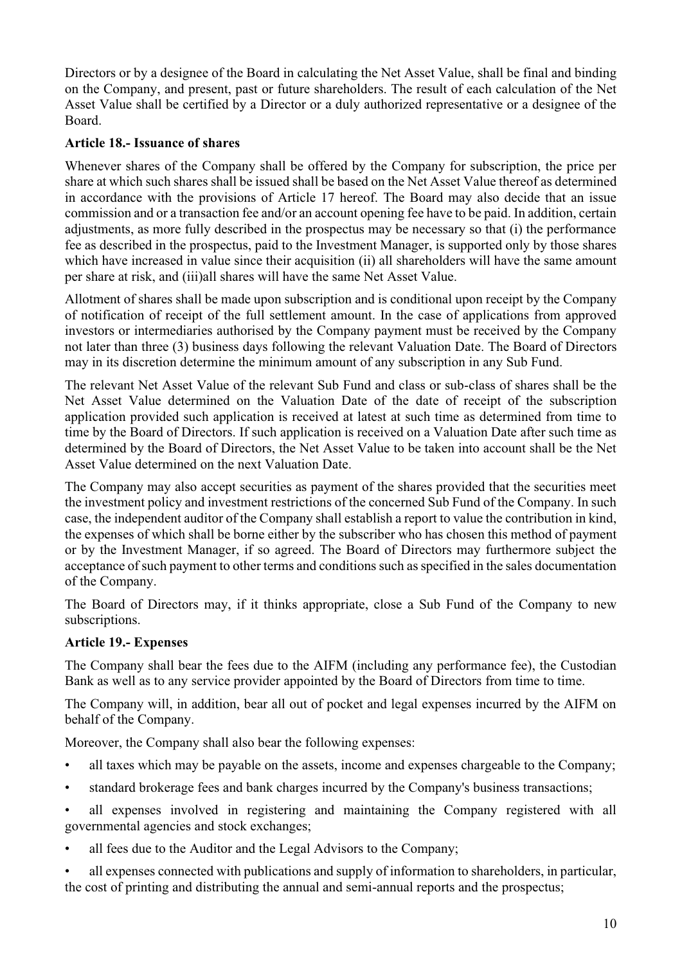Directors or by a designee of the Board in calculating the Net Asset Value, shall be final and binding on the Company, and present, past or future shareholders. The result of each calculation of the Net Asset Value shall be certified by a Director or a duly authorized representative or a designee of the Board.

# **Article 18.- Issuance of shares**

Whenever shares of the Company shall be offered by the Company for subscription, the price per share at which such shares shall be issued shall be based on the Net Asset Value thereof as determined in accordance with the provisions of Article 17 hereof. The Board may also decide that an issue commission and or a transaction fee and/or an account opening fee have to be paid. In addition, certain adjustments, as more fully described in the prospectus may be necessary so that (i) the performance fee as described in the prospectus, paid to the Investment Manager, is supported only by those shares which have increased in value since their acquisition (ii) all shareholders will have the same amount per share at risk, and (iii)all shares will have the same Net Asset Value.

Allotment of shares shall be made upon subscription and is conditional upon receipt by the Company of notification of receipt of the full settlement amount. In the case of applications from approved investors or intermediaries authorised by the Company payment must be received by the Company not later than three (3) business days following the relevant Valuation Date. The Board of Directors may in its discretion determine the minimum amount of any subscription in any Sub Fund.

The relevant Net Asset Value of the relevant Sub Fund and class or sub-class of shares shall be the Net Asset Value determined on the Valuation Date of the date of receipt of the subscription application provided such application is received at latest at such time as determined from time to time by the Board of Directors. If such application is received on a Valuation Date after such time as determined by the Board of Directors, the Net Asset Value to be taken into account shall be the Net Asset Value determined on the next Valuation Date.

The Company may also accept securities as payment of the shares provided that the securities meet the investment policy and investment restrictions of the concerned Sub Fund of the Company. In such case, the independent auditor of the Company shall establish a report to value the contribution in kind, the expenses of which shall be borne either by the subscriber who has chosen this method of payment or by the Investment Manager, if so agreed. The Board of Directors may furthermore subject the acceptance of such payment to other terms and conditions such as specified in the sales documentation of the Company.

The Board of Directors may, if it thinks appropriate, close a Sub Fund of the Company to new subscriptions.

### **Article 19.- Expenses**

The Company shall bear the fees due to the AIFM (including any performance fee), the Custodian Bank as well as to any service provider appointed by the Board of Directors from time to time.

The Company will, in addition, bear all out of pocket and legal expenses incurred by the AIFM on behalf of the Company.

Moreover, the Company shall also bear the following expenses:

- all taxes which may be payable on the assets, income and expenses chargeable to the Company;
- standard brokerage fees and bank charges incurred by the Company's business transactions;
- all expenses involved in registering and maintaining the Company registered with all governmental agencies and stock exchanges;
- all fees due to the Auditor and the Legal Advisors to the Company;

• all expenses connected with publications and supply of information to shareholders, in particular, the cost of printing and distributing the annual and semi-annual reports and the prospectus;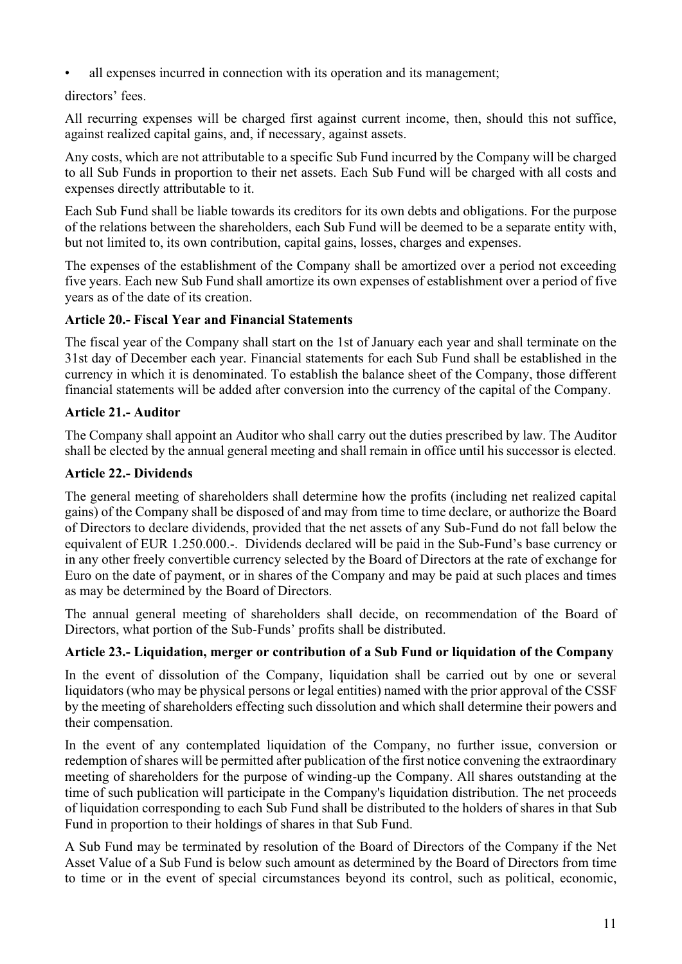all expenses incurred in connection with its operation and its management;

# directors' fees.

All recurring expenses will be charged first against current income, then, should this not suffice, against realized capital gains, and, if necessary, against assets.

Any costs, which are not attributable to a specific Sub Fund incurred by the Company will be charged to all Sub Funds in proportion to their net assets. Each Sub Fund will be charged with all costs and expenses directly attributable to it.

Each Sub Fund shall be liable towards its creditors for its own debts and obligations. For the purpose of the relations between the shareholders, each Sub Fund will be deemed to be a separate entity with, but not limited to, its own contribution, capital gains, losses, charges and expenses.

The expenses of the establishment of the Company shall be amortized over a period not exceeding five years. Each new Sub Fund shall amortize its own expenses of establishment over a period of five years as of the date of its creation.

# **Article 20.- Fiscal Year and Financial Statements**

The fiscal year of the Company shall start on the 1st of January each year and shall terminate on the 31st day of December each year. Financial statements for each Sub Fund shall be established in the currency in which it is denominated. To establish the balance sheet of the Company, those different financial statements will be added after conversion into the currency of the capital of the Company.

# **Article 21.- Auditor**

The Company shall appoint an Auditor who shall carry out the duties prescribed by law. The Auditor shall be elected by the annual general meeting and shall remain in office until his successor is elected.

# **Article 22.- Dividends**

The general meeting of shareholders shall determine how the profits (including net realized capital gains) of the Company shall be disposed of and may from time to time declare, or authorize the Board of Directors to declare dividends, provided that the net assets of any Sub-Fund do not fall below the equivalent of EUR 1.250.000.-. Dividends declared will be paid in the Sub-Fund's base currency or in any other freely convertible currency selected by the Board of Directors at the rate of exchange for Euro on the date of payment, or in shares of the Company and may be paid at such places and times as may be determined by the Board of Directors.

The annual general meeting of shareholders shall decide, on recommendation of the Board of Directors, what portion of the Sub-Funds' profits shall be distributed.

# **Article 23.- Liquidation, merger or contribution of a Sub Fund or liquidation of the Company**

In the event of dissolution of the Company, liquidation shall be carried out by one or several liquidators (who may be physical persons or legal entities) named with the prior approval of the CSSF by the meeting of shareholders effecting such dissolution and which shall determine their powers and their compensation.

In the event of any contemplated liquidation of the Company, no further issue, conversion or redemption of shares will be permitted after publication of the first notice convening the extraordinary meeting of shareholders for the purpose of winding-up the Company. All shares outstanding at the time of such publication will participate in the Company's liquidation distribution. The net proceeds of liquidation corresponding to each Sub Fund shall be distributed to the holders of shares in that Sub Fund in proportion to their holdings of shares in that Sub Fund.

A Sub Fund may be terminated by resolution of the Board of Directors of the Company if the Net Asset Value of a Sub Fund is below such amount as determined by the Board of Directors from time to time or in the event of special circumstances beyond its control, such as political, economic,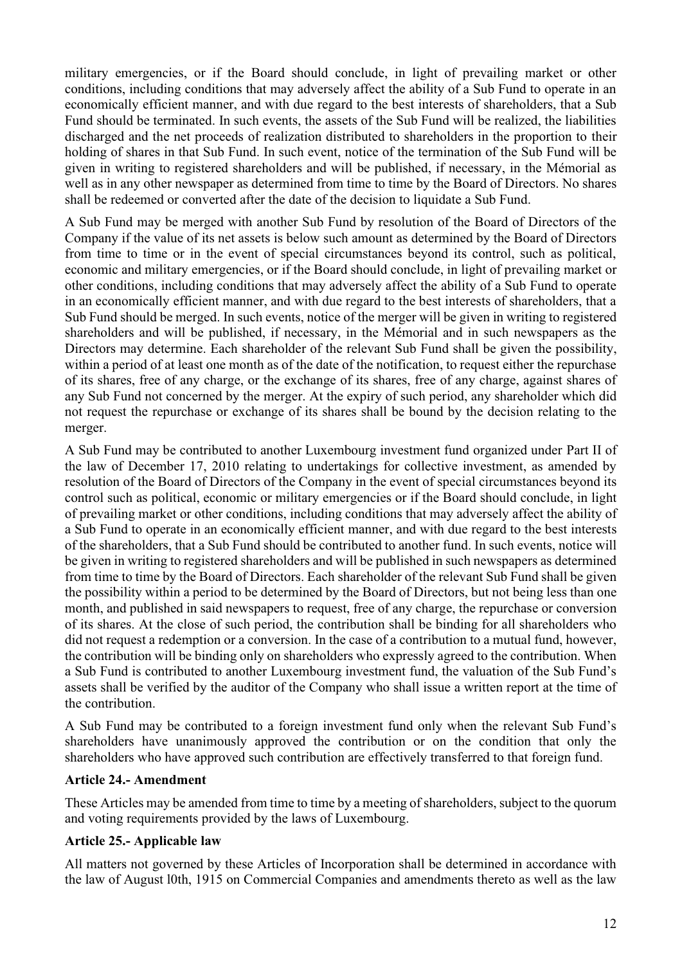military emergencies, or if the Board should conclude, in light of prevailing market or other conditions, including conditions that may adversely affect the ability of a Sub Fund to operate in an economically efficient manner, and with due regard to the best interests of shareholders, that a Sub Fund should be terminated. In such events, the assets of the Sub Fund will be realized, the liabilities discharged and the net proceeds of realization distributed to shareholders in the proportion to their holding of shares in that Sub Fund. In such event, notice of the termination of the Sub Fund will be given in writing to registered shareholders and will be published, if necessary, in the Mémorial as well as in any other newspaper as determined from time to time by the Board of Directors. No shares shall be redeemed or converted after the date of the decision to liquidate a Sub Fund.

A Sub Fund may be merged with another Sub Fund by resolution of the Board of Directors of the Company if the value of its net assets is below such amount as determined by the Board of Directors from time to time or in the event of special circumstances beyond its control, such as political, economic and military emergencies, or if the Board should conclude, in light of prevailing market or other conditions, including conditions that may adversely affect the ability of a Sub Fund to operate in an economically efficient manner, and with due regard to the best interests of shareholders, that a Sub Fund should be merged. In such events, notice of the merger will be given in writing to registered shareholders and will be published, if necessary, in the Mémorial and in such newspapers as the Directors may determine. Each shareholder of the relevant Sub Fund shall be given the possibility, within a period of at least one month as of the date of the notification, to request either the repurchase of its shares, free of any charge, or the exchange of its shares, free of any charge, against shares of any Sub Fund not concerned by the merger. At the expiry of such period, any shareholder which did not request the repurchase or exchange of its shares shall be bound by the decision relating to the merger.

A Sub Fund may be contributed to another Luxembourg investment fund organized under Part II of the law of December 17, 2010 relating to undertakings for collective investment, as amended by resolution of the Board of Directors of the Company in the event of special circumstances beyond its control such as political, economic or military emergencies or if the Board should conclude, in light of prevailing market or other conditions, including conditions that may adversely affect the ability of a Sub Fund to operate in an economically efficient manner, and with due regard to the best interests of the shareholders, that a Sub Fund should be contributed to another fund. In such events, notice will be given in writing to registered shareholders and will be published in such newspapers as determined from time to time by the Board of Directors. Each shareholder of the relevant Sub Fund shall be given the possibility within a period to be determined by the Board of Directors, but not being less than one month, and published in said newspapers to request, free of any charge, the repurchase or conversion of its shares. At the close of such period, the contribution shall be binding for all shareholders who did not request a redemption or a conversion. In the case of a contribution to a mutual fund, however, the contribution will be binding only on shareholders who expressly agreed to the contribution. When a Sub Fund is contributed to another Luxembourg investment fund, the valuation of the Sub Fund's assets shall be verified by the auditor of the Company who shall issue a written report at the time of the contribution.

A Sub Fund may be contributed to a foreign investment fund only when the relevant Sub Fund's shareholders have unanimously approved the contribution or on the condition that only the shareholders who have approved such contribution are effectively transferred to that foreign fund.

### **Article 24.- Amendment**

These Articles may be amended from time to time by a meeting of shareholders, subject to the quorum and voting requirements provided by the laws of Luxembourg.

### **Article 25.- Applicable law**

All matters not governed by these Articles of Incorporation shall be determined in accordance with the law of August l0th, 1915 on Commercial Companies and amendments thereto as well as the law